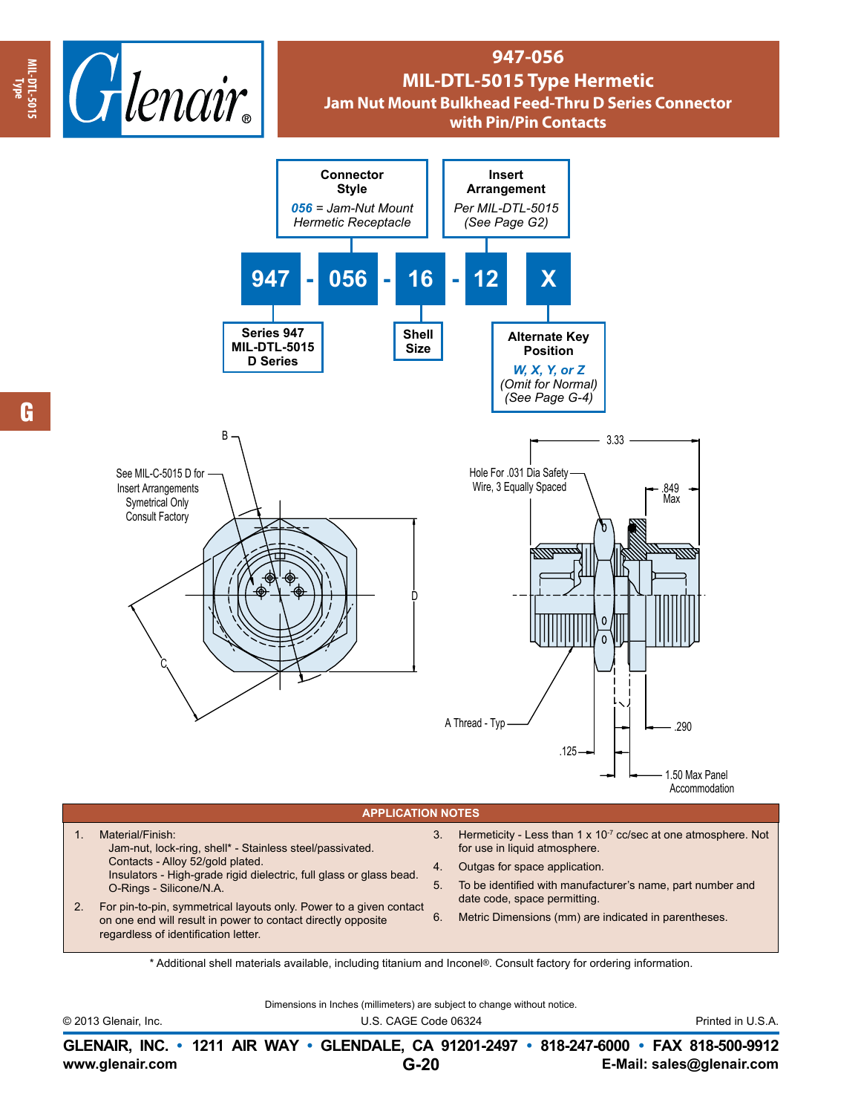

## **947-056 MIL-DTL-5015 Type Hermetic Jam Nut Mount Bulkhead Feed-Thru D Series Connector with Pin/Pin Contacts**



## **APPLICATION NOTES**

1. Material/Finish: Jam-nut, lock-ring, shell\* - Stainless steel/passivated. Contacts - Alloy 52/gold plated. Insulators - High-grade rigid dielectric, full glass or glass bead. O-Rings - Silicone/N.A.

- 2. For pin-to-pin, symmetrical layouts only. Power to a given contact on one end will result in power to contact directly opposite regardless of identification letter.
- 3. Hermeticity Less than  $1 \times 10^{-7}$  cc/sec at one atmosphere. Not for use in liquid atmosphere.
- 4. Outgas for space application.
- 5. To be identified with manufacturer's name, part number and date code, space permitting.
- 6. Metric Dimensions (mm) are indicated in parentheses.

\* Additional shell materials available, including titanium and Inconel®. Consult factory for ordering information.

Dimensions in Inches (millimeters) are subject to change without notice.

© 2013 Glenair, Inc. U.S. CAGE Code 06324 Printed in U.S.A.

**www.glenair.com E-Mail: sales@glenair.com GLENAIR, INC. • 1211 AIR WAY • GLENDALE, CA 91201-2497 • 818-247-6000 • FAX 818-500-9912 G-20**